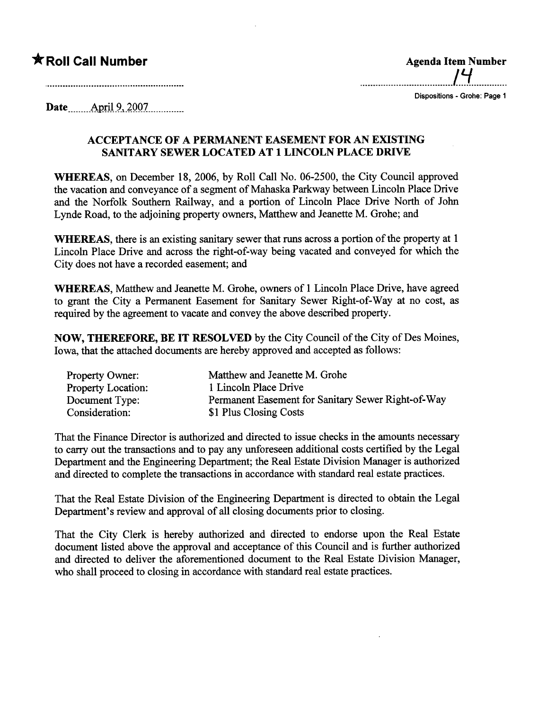## $*$  Roll Call Number

| <b>Agenda Item Number</b> |
|---------------------------|
|                           |

Dispositions - Grohe: Page 1

Date<sub>.......</sub>...April 9, 2007...............

## ACCEPTANCE OF A PERMANENT EASEMENT FOR AN EXISTING SANITARY SEWER LOCATED AT 1 LINCOLN PLACE DRIVE

WHEREAS, on December 18, 2006, by Roll Call No. 06-2500, the City Council approved the vacation and conveyance of a segment of Mahaska Parkway between Lincoln Place Drive and the Norfolk Southern Railway, and a portion of Lincoln Place Drive North of John Lynde Road, to the adjoining property owners, Matthew and Jeanette M. Grohe; and

WHEREAS, there is an existing sanitary sewer that runs across a portion of the property at 1 Lincoln Place Drive and across the right-of-way being vacated and conveyed for which the City does not have a recorded easement; and

WHEREAS, Matthew and Jeanette M. Grohe, owners of 1 Lincoln Place Drive, have agreed to grant the City a Permanent Easement for Sanitary Sewer Right-of-Way at no cost, as required by the agreement to vacate and convey the above described property.

NOW, THEREFORE, BE IT RESOLVED by the City Council of the City of Des Moines, Iowa, that the attached documents are hereby approved and accepted as follows:

| <b>Property Owner:</b>    | Matthew and Jeanette M. Grohe                      |
|---------------------------|----------------------------------------------------|
| <b>Property Location:</b> | 1 Lincoln Place Drive                              |
| Document Type:            | Permanent Easement for Sanitary Sewer Right-of-Way |
| Consideration:            | \$1 Plus Closing Costs                             |

That the Finance Director is authorized and directed to issue checks in the amounts necessar to carry out the transactions and to pay any unforeseen additional costs certified by the Legal Deparment and the Engineering Deparment; the Real Estate Division Manager is authorized and directed to complete the transactions in accordance with stadard real estate practices.

That the Real Estate Division of the Engineering Department is directed to obtain the Legal Department's review and approval of all closing documents prior to closing.

That the City Clerk is hereby authorized and directed to endorse upon the Real Estate document listed above the approval and acceptance of this Council and is further authorized and directed to deliver the aforementioned document to the Real Estate Division Manager, who shall proceed to closing in accordance with standard real estate practices.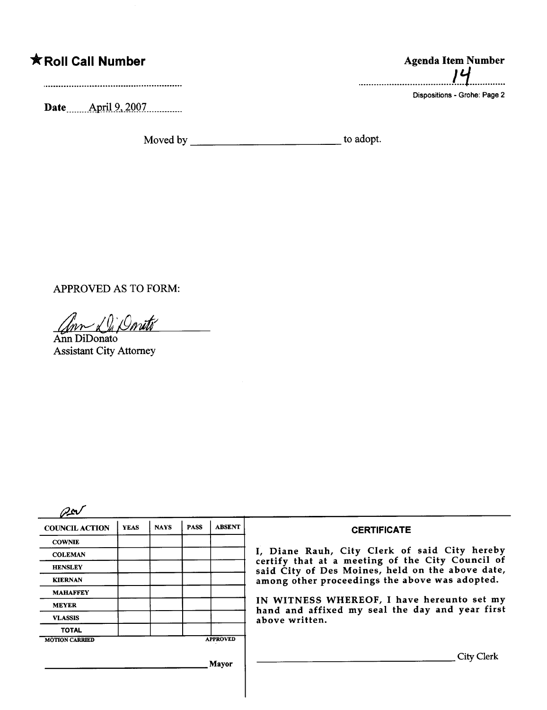## **\*Roll Call Number**

Date **April 9, 2007** 

**Agenda Item Number** ויו ................

Dispositions - Grohe: Page 2

APPROVED AS TO FORM:

Ann DiDonato **Assistant City Attorney** 

 $2\nu$ 

| u r                   |             |             |             |                 |                                                                                                                                                                                                                                                                                                                            |
|-----------------------|-------------|-------------|-------------|-----------------|----------------------------------------------------------------------------------------------------------------------------------------------------------------------------------------------------------------------------------------------------------------------------------------------------------------------------|
| <b>COUNCIL ACTION</b> | <b>YEAS</b> | <b>NAYS</b> | <b>PASS</b> | <b>ABSENT</b>   | <b>CERTIFICATE</b>                                                                                                                                                                                                                                                                                                         |
| <b>COWNIE</b>         |             |             |             |                 |                                                                                                                                                                                                                                                                                                                            |
| <b>COLEMAN</b>        |             |             |             |                 | I, Diane Rauh, City Clerk of said City hereby<br>certify that at a meeting of the City Council of<br>said City of Des Moines, held on the above date,<br>among other proceedings the above was adopted.<br>IN WITNESS WHEREOF, I have hereunto set my<br>hand and affixed my seal the day and year first<br>above written. |
| <b>HENSLEY</b>        |             |             |             |                 |                                                                                                                                                                                                                                                                                                                            |
| <b>KIERNAN</b>        |             |             |             |                 |                                                                                                                                                                                                                                                                                                                            |
| <b>MAHAFFEY</b>       |             |             |             |                 |                                                                                                                                                                                                                                                                                                                            |
| <b>MEYER</b>          |             |             |             |                 |                                                                                                                                                                                                                                                                                                                            |
| <b>VLASSIS</b>        |             |             |             |                 |                                                                                                                                                                                                                                                                                                                            |
| <b>TOTAL</b>          |             |             |             |                 |                                                                                                                                                                                                                                                                                                                            |
| <b>MOTION CARRIED</b> |             |             |             | <b>APPROVED</b> |                                                                                                                                                                                                                                                                                                                            |
|                       |             |             |             | Mayor           | City Clerk                                                                                                                                                                                                                                                                                                                 |